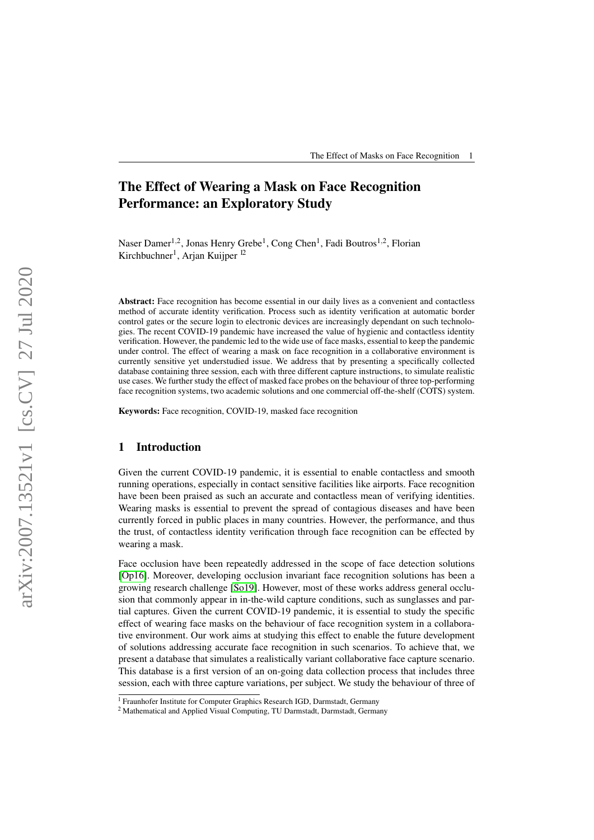# The Effect of Wearing a Mask on Face Recognition Performance: an Exploratory Study

Naser Damer<sup>1,2</sup>, Jonas Henry Grebe<sup>1</sup>, Cong Chen<sup>1</sup>, Fadi Boutros<sup>1,2</sup>, Florian Kirchbuchner<sup>1</sup>, Arjan Kuijper<sup>12</sup>

Abstract: Face recognition has become essential in our daily lives as a convenient and contactless method of accurate identity verification. Process such as identity verification at automatic border control gates or the secure login to electronic devices are increasingly dependant on such technologies. The recent COVID-19 pandemic have increased the value of hygienic and contactless identity verification. However, the pandemic led to the wide use of face masks, essential to keep the pandemic under control. The effect of wearing a mask on face recognition in a collaborative environment is currently sensitive yet understudied issue. We address that by presenting a specifically collected database containing three session, each with three different capture instructions, to simulate realistic use cases. We further study the effect of masked face probes on the behaviour of three top-performing face recognition systems, two academic solutions and one commercial off-the-shelf (COTS) system.

Keywords: Face recognition, COVID-19, masked face recognition

## 1 Introduction

Given the current COVID-19 pandemic, it is essential to enable contactless and smooth running operations, especially in contact sensitive facilities like airports. Face recognition have been been praised as such an accurate and contactless mean of verifying identities. Wearing masks is essential to prevent the spread of contagious diseases and have been currently forced in public places in many countries. However, the performance, and thus the trust, of contactless identity verification through face recognition can be effected by wearing a mask.

Face occlusion have been repeatedly addressed in the scope of face detection solutions [\[Op16\]](#page-8-0). Moreover, developing occlusion invariant face recognition solutions has been a growing research challenge [\[So19\]](#page-8-1). However, most of these works address general occlusion that commonly appear in in-the-wild capture conditions, such as sunglasses and partial captures. Given the current COVID-19 pandemic, it is essential to study the specific effect of wearing face masks on the behaviour of face recognition system in a collaborative environment. Our work aims at studying this effect to enable the future development of solutions addressing accurate face recognition in such scenarios. To achieve that, we present a database that simulates a realistically variant collaborative face capture scenario. This database is a first version of an on-going data collection process that includes three session, each with three capture variations, per subject. We study the behaviour of three of

<sup>&</sup>lt;sup>1</sup> Fraunhofer Institute for Computer Graphics Research IGD, Darmstadt, Germany

<sup>2</sup> Mathematical and Applied Visual Computing, TU Darmstadt, Darmstadt, Germany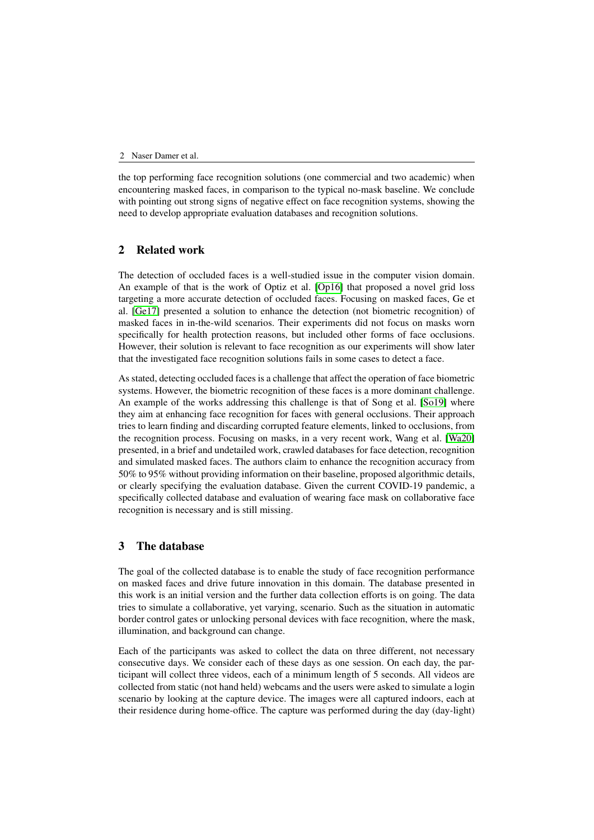the top performing face recognition solutions (one commercial and two academic) when encountering masked faces, in comparison to the typical no-mask baseline. We conclude with pointing out strong signs of negative effect on face recognition systems, showing the need to develop appropriate evaluation databases and recognition solutions.

# 2 Related work

The detection of occluded faces is a well-studied issue in the computer vision domain. An example of that is the work of Optiz et al. [\[Op16\]](#page-8-0) that proposed a novel grid loss targeting a more accurate detection of occluded faces. Focusing on masked faces, Ge et al. [\[Ge17\]](#page-7-0) presented a solution to enhance the detection (not biometric recognition) of masked faces in in-the-wild scenarios. Their experiments did not focus on masks worn specifically for health protection reasons, but included other forms of face occlusions. However, their solution is relevant to face recognition as our experiments will show later that the investigated face recognition solutions fails in some cases to detect a face.

As stated, detecting occluded faces is a challenge that affect the operation of face biometric systems. However, the biometric recognition of these faces is a more dominant challenge. An example of the works addressing this challenge is that of Song et al. [\[So19\]](#page-8-1) where they aim at enhancing face recognition for faces with general occlusions. Their approach tries to learn finding and discarding corrupted feature elements, linked to occlusions, from the recognition process. Focusing on masks, in a very recent work, Wang et al. [\[Wa20\]](#page-8-2) presented, in a brief and undetailed work, crawled databases for face detection, recognition and simulated masked faces. The authors claim to enhance the recognition accuracy from 50% to 95% without providing information on their baseline, proposed algorithmic details, or clearly specifying the evaluation database. Given the current COVID-19 pandemic, a specifically collected database and evaluation of wearing face mask on collaborative face recognition is necessary and is still missing.

## 3 The database

The goal of the collected database is to enable the study of face recognition performance on masked faces and drive future innovation in this domain. The database presented in this work is an initial version and the further data collection efforts is on going. The data tries to simulate a collaborative, yet varying, scenario. Such as the situation in automatic border control gates or unlocking personal devices with face recognition, where the mask, illumination, and background can change.

Each of the participants was asked to collect the data on three different, not necessary consecutive days. We consider each of these days as one session. On each day, the participant will collect three videos, each of a minimum length of 5 seconds. All videos are collected from static (not hand held) webcams and the users were asked to simulate a login scenario by looking at the capture device. The images were all captured indoors, each at their residence during home-office. The capture was performed during the day (day-light)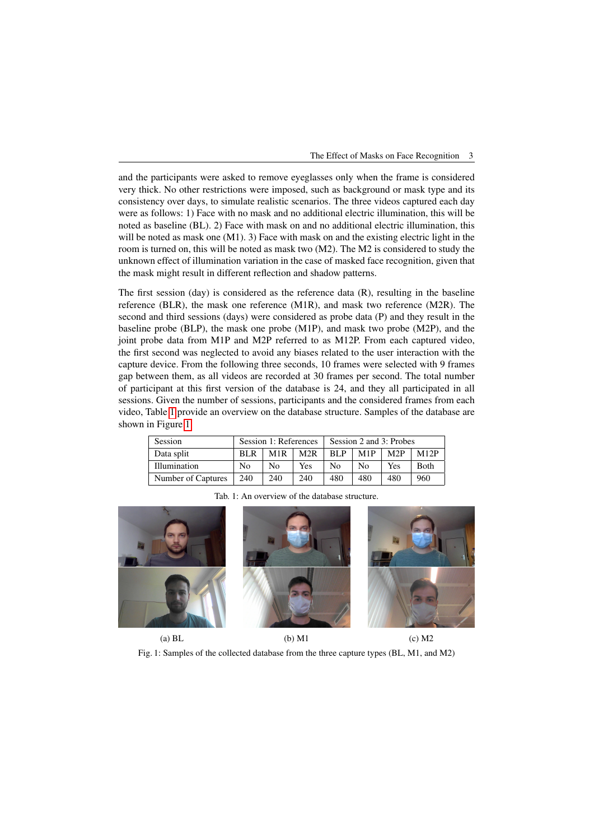and the participants were asked to remove eyeglasses only when the frame is considered very thick. No other restrictions were imposed, such as background or mask type and its consistency over days, to simulate realistic scenarios. The three videos captured each day were as follows: 1) Face with no mask and no additional electric illumination, this will be noted as baseline (BL). 2) Face with mask on and no additional electric illumination, this will be noted as mask one  $(M1)$ . 3) Face with mask on and the existing electric light in the room is turned on, this will be noted as mask two (M2). The M2 is considered to study the unknown effect of illumination variation in the case of masked face recognition, given that the mask might result in different reflection and shadow patterns.

The first session (day) is considered as the reference data  $(R)$ , resulting in the baseline reference (BLR), the mask one reference (M1R), and mask two reference (M2R). The second and third sessions (days) were considered as probe data (P) and they result in the baseline probe (BLP), the mask one probe (M1P), and mask two probe (M2P), and the joint probe data from M1P and M2P referred to as M12P. From each captured video, the first second was neglected to avoid any biases related to the user interaction with the capture device. From the following three seconds, 10 frames were selected with 9 frames gap between them, as all videos are recorded at 30 frames per second. The total number of participant at this first version of the database is 24, and they all participated in all sessions. Given the number of sessions, participants and the considered frames from each video, Table [1](#page-2-0) provide an overview on the database structure. Samples of the database are shown in Figure [1.](#page-2-1)

<span id="page-2-0"></span>

| Session             | Session 1: References |     |     | Session 2 and 3: Probes |     |                  |             |
|---------------------|-----------------------|-----|-----|-------------------------|-----|------------------|-------------|
| Data split          | <b>BLR</b>            | M1R | M2R | <b>BLP</b>              | M1P | M <sub>2</sub> P | M12P        |
| <b>Illumination</b> | No                    | Nο  | Yes | Nο                      | Nο  | Yes              | <b>Both</b> |
| Number of Captures  | 240                   | 240 | 240 | 480                     | 480 | 480              | 960         |

Tab. 1: An overview of the database structure.

<span id="page-2-1"></span>

(a) BL (b) M1 (c) M2

Fig. 1: Samples of the collected database from the three capture types (BL, M1, and M2)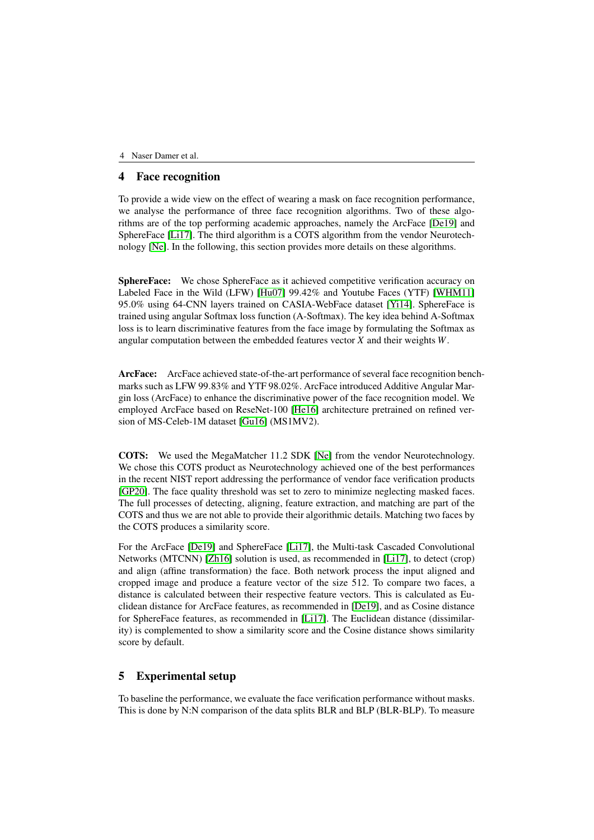## 4 Face recognition

To provide a wide view on the effect of wearing a mask on face recognition performance, we analyse the performance of three face recognition algorithms. Two of these algorithms are of the top performing academic approaches, namely the ArcFace [\[De19\]](#page-7-1) and SphereFace [\[Li17\]](#page-8-3). The third algorithm is a COTS algorithm from the vendor Neurotechnology [\[Ne\]](#page-8-4). In the following, this section provides more details on these algorithms.

SphereFace: We chose SphereFace as it achieved competitive verification accuracy on Labeled Face in the Wild (LFW) [\[Hu07\]](#page-7-2) 99.42% and Youtube Faces (YTF) [\[WHM11\]](#page-8-5) 95.0% using 64-CNN layers trained on CASIA-WebFace dataset [\[Yi14\]](#page-8-6). SphereFace is trained using angular Softmax loss function (A-Softmax). The key idea behind A-Softmax loss is to learn discriminative features from the face image by formulating the Softmax as angular computation between the embedded features vector *X* and their weights *W*.

ArcFace: ArcFace achieved state-of-the-art performance of several face recognition benchmarks such as LFW 99.83% and YTF 98.02%. ArcFace introduced Additive Angular Margin loss (ArcFace) to enhance the discriminative power of the face recognition model. We employed ArcFace based on ReseNet-100 [\[He16\]](#page-7-3) architecture pretrained on refined version of MS-Celeb-1M dataset [\[Gu16\]](#page-7-4) (MS1MV2).

COTS: We used the MegaMatcher 11.2 SDK [\[Ne\]](#page-8-4) from the vendor Neurotechnology. We chose this COTS product as Neurotechnology achieved one of the best performances in the recent NIST report addressing the performance of vendor face verification products [\[GP20\]](#page-7-5). The face quality threshold was set to zero to minimize neglecting masked faces. The full processes of detecting, aligning, feature extraction, and matching are part of the COTS and thus we are not able to provide their algorithmic details. Matching two faces by the COTS produces a similarity score.

For the ArcFace [\[De19\]](#page-7-1) and SphereFace [\[Li17\]](#page-8-3), the Multi-task Cascaded Convolutional Networks (MTCNN) [\[Zh16\]](#page-8-7) solution is used, as recommended in [\[Li17\]](#page-8-3), to detect (crop) and align (affine transformation) the face. Both network process the input aligned and cropped image and produce a feature vector of the size 512. To compare two faces, a distance is calculated between their respective feature vectors. This is calculated as Euclidean distance for ArcFace features, as recommended in [\[De19\]](#page-7-1), and as Cosine distance for SphereFace features, as recommended in [\[Li17\]](#page-8-3). The Euclidean distance (dissimilarity) is complemented to show a similarity score and the Cosine distance shows similarity score by default.

# 5 Experimental setup

To baseline the performance, we evaluate the face verification performance without masks. This is done by N:N comparison of the data splits BLR and BLP (BLR-BLP). To measure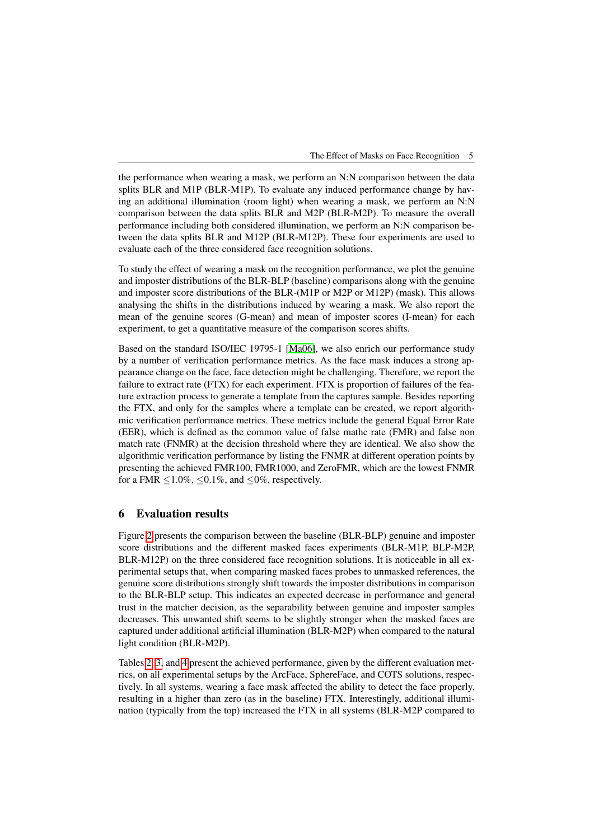the performance when wearing a mask, we perform an N:N comparison between the data splits BLR and M1P (BLR-M1P). To evaluate any induced performance change by having an additional illumination (room light) when wearing a mask, we perform an N:N comparison between the data splits BLR and M2P (BLR-M2P). To measure the overall performance including both considered illumination, we perform an N:N comparison between the data splits BLR and M12P (BLR-M12P). These four experiments are used to evaluate each of the three considered face recognition solutions.

To study the effect of wearing a mask on the recognition performance, we plot the genuine and imposter distributions of the BLR-BLP (baseline) comparisons along with the genuine and imposter score distributions of the BLR-(M1P or M2P or M12P) (mask). This allows analysing the shifts in the distributions induced by wearing a mask. We also report the mean of the genuine scores (G-mean) and mean of imposter scores (I-mean) for each experiment, to get a quantitative measure of the comparison scores shifts.

Based on the standard ISO/IEC 19795-1 [\[Ma06\]](#page-8-8), we also enrich our performance study by a number of verification performance metrics. As the face mask induces a strong appearance change on the face, face detection might be challenging. Therefore, we report the failure to extract rate (FTX) for each experiment. FTX is proportion of failures of the feature extraction process to generate a template from the captures sample. Besides reporting the FTX, and only for the samples where a template can be created, we report algorithmic verification performance metrics. These metrics include the general Equal Error Rate (EER), which is defined as the common value of false mathc rate (FMR) and false non match rate (FNMR) at the decision threshold where they are identical. We also show the algorithmic verification performance by listing the FNMR at different operation points by presenting the achieved FMR100, FMR1000, and ZeroFMR, which are the lowest FNMR for a FMR  $\leq 1.0\%$ ,  $\leq 0.1\%$ , and  $\leq 0\%$ , respectively.

### 6 Evaluation results

Figure [2](#page-5-0) presents the comparison between the baseline (BLR-BLP) genuine and imposter score distributions and the different masked faces experiments (BLR-M1P, BLP-M2P, BLR-M12P) on the three considered face recognition solutions. It is noticeable in all experimental setups that, when comparing masked faces probes to unmasked references, the genuine score distributions strongly shift towards the imposter distributions in comparison to the BLR-BLP setup. This indicates an expected decrease in performance and general trust in the matcher decision, as the separability between genuine and imposter samples decreases. This unwanted shift seems to be slightly stronger when the masked faces are captured under additional artificial illumination (BLR-M2P) when compared to the natural light condition (BLR-M2P).

Tables [2,](#page-6-0) [3,](#page-6-1) and [4](#page-6-2) present the achieved performance, given by the different evaluation metrics, on all experimental setups by the ArcFace, SphereFace, and COTS solutions, respectively. In all systems, wearing a face mask affected the ability to detect the face properly, resulting in a higher than zero (as in the baseline) FTX. Interestingly, additional illumination (typically from the top) increased the FTX in all systems (BLR-M2P compared to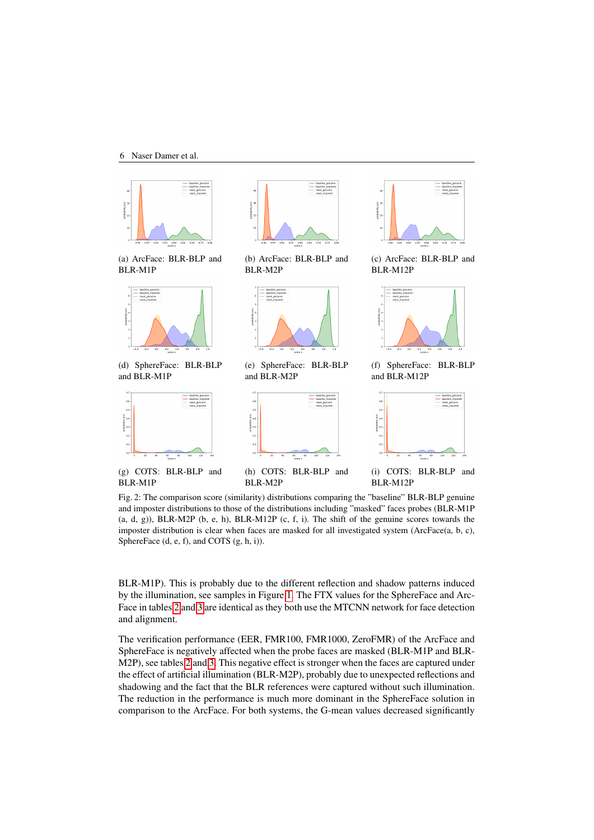<span id="page-5-0"></span>

Fig. 2: The comparison score (similarity) distributions comparing the "baseline" BLR-BLP genuine and imposter distributions to those of the distributions including "masked" faces probes (BLR-M1P  $(a, d, g)$ ), BLR-M2P  $(b, e, h)$ , BLR-M12P  $(c, f, i)$ . The shift of the genuine scores towards the imposter distribution is clear when faces are masked for all investigated system (ArcFace(a, b, c), SphereFace (d, e, f), and COTS (g, h, i)).

BLR-M1P). This is probably due to the different reflection and shadow patterns induced by the illumination, see samples in Figure [1.](#page-2-1) The FTX values for the SphereFace and Arc-Face in tables [2](#page-6-0) and [3](#page-6-1) are identical as they both use the MTCNN network for face detection and alignment.

The verification performance (EER, FMR100, FMR1000, ZeroFMR) of the ArcFace and SphereFace is negatively affected when the probe faces are masked (BLR-M1P and BLR-M2P), see tables [2](#page-6-0) and [3.](#page-6-1) This negative effect is stronger when the faces are captured under the effect of artificial illumination (BLR-M2P), probably due to unexpected reflections and shadowing and the fact that the BLR references were captured without such illumination. The reduction in the performance is much more dominant in the SphereFace solution in comparison to the ArcFace. For both systems, the G-mean values decreased significantly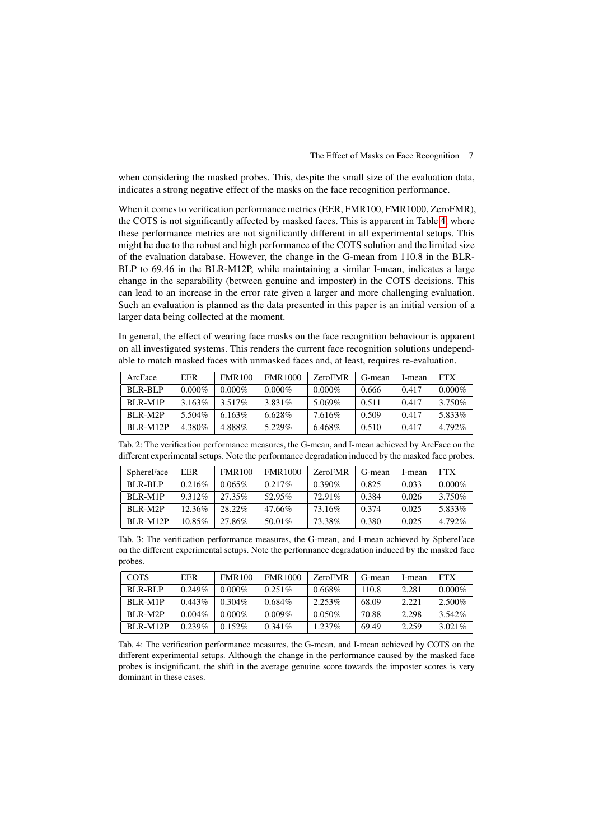when considering the masked probes. This, despite the small size of the evaluation data, indicates a strong negative effect of the masks on the face recognition performance.

When it comes to verification performance metrics (EER, FMR100, FMR1000, ZeroFMR), the COTS is not significantly affected by masked faces. This is apparent in Table [4,](#page-6-2) where these performance metrics are not significantly different in all experimental setups. This might be due to the robust and high performance of the COTS solution and the limited size of the evaluation database. However, the change in the G-mean from 110.8 in the BLR-BLP to 69.46 in the BLR-M12P, while maintaining a similar I-mean, indicates a large change in the separability (between genuine and imposter) in the COTS decisions. This can lead to an increase in the error rate given a larger and more challenging evaluation. Such an evaluation is planned as the data presented in this paper is an initial version of a larger data being collected at the moment.

In general, the effect of wearing face masks on the face recognition behaviour is apparent on all investigated systems. This renders the current face recognition solutions undependable to match masked faces with unmasked faces and, at least, requires re-evaluation.

<span id="page-6-0"></span>

| ArcFace    | <b>EER</b> | <b>FMR100</b> | <b>FMR1000</b> | <b>ZeroFMR</b> | G-mean | I-mean | <b>FTX</b> |
|------------|------------|---------------|----------------|----------------|--------|--------|------------|
| BLR-BLP    | $0.000\%$  | $0.000\%$     | $0.000\%$      | $0.000\%$      | 0.666  | 0.417  | $0.000\%$  |
| BLR-M1P    | $3.163\%$  | 3.517%        | 3.831\%        | 5.069%         | 0.511  | 0.417  | 3.750\%    |
| BLR-M2P    | 5.504%     | $6.163\%$     | $6.628\%$      | 7.616\%        | 0.509  | 0.417  | 5.833%     |
| $BLR-M12P$ | 4.380\%    | 4.888%        | 5.229%         | 6.468%         | 0.510  | 0.417  | $4.792\%$  |

| Tab. 2: The verification performance measures, the G-mean, and I-mean achieved by ArcFace on the   |  |  |  |
|----------------------------------------------------------------------------------------------------|--|--|--|
| different experimental setups. Note the performance degradation induced by the masked face probes. |  |  |  |

<span id="page-6-1"></span>

| <b>SphereFace</b> | <b>EER</b> | <b>FMR100</b> | <b>FMR1000</b> | <b>ZeroFMR</b> | G-mean | I-mean | <b>FTX</b> |
|-------------------|------------|---------------|----------------|----------------|--------|--------|------------|
| BLR-BLP           | 0.216%     | $0.065\%$     | $0.217\%$      | $0.390\%$      | 0.825  | 0.033  | $0.000\%$  |
| BLR-M1P           | 9.312\%    | 27.35%        | 52.95%         | 72.91%         | 0.384  | 0.026  | 3.750%     |
| BLR-M2P           | 12.36%     | 28.22%        | 47.66%         | 73.16%         | 0.374  | 0.025  | 5.833%     |
| BLR-M12P          | 10.85%     | 27.86%        | 50.01%         | 73.38%         | 0.380  | 0.025  | 4.792%     |

Tab. 3: The verification performance measures, the G-mean, and I-mean achieved by SphereFace on the different experimental setups. Note the performance degradation induced by the masked face probes.

<span id="page-6-2"></span>

| <b>COTS</b> | <b>EER</b> | <b>FMR100</b> | <b>FMR1000</b> | <b>ZeroFMR</b> | G-mean | I-mean | <b>FTX</b> |
|-------------|------------|---------------|----------------|----------------|--------|--------|------------|
| BLR-BLP     | 0.249%     | $0.000\%$     | $0.251\%$      | $0.668\%$      | 110.8  | 2.281  | $0.000\%$  |
| BLR-M1P     | $0.443\%$  | $0.304\%$     | $0.684\%$      | 2.253\%        | 68.09  | 2.221  | 2.500\%    |
| BLR-M2P     | $0.004\%$  | $0.000\%$     | $0.009\%$      | $0.050\%$      | 70.88  | 2.298  | 3.542%     |
| $BLR-M12P$  | $0.239\%$  | $0.152\%$     | $0.341\%$      | $1.237\%$      | 69.49  | 2.259  | $3.021\%$  |

Tab. 4: The verification performance measures, the G-mean, and I-mean achieved by COTS on the different experimental setups. Although the change in the performance caused by the masked face probes is insignificant, the shift in the average genuine score towards the imposter scores is very dominant in these cases.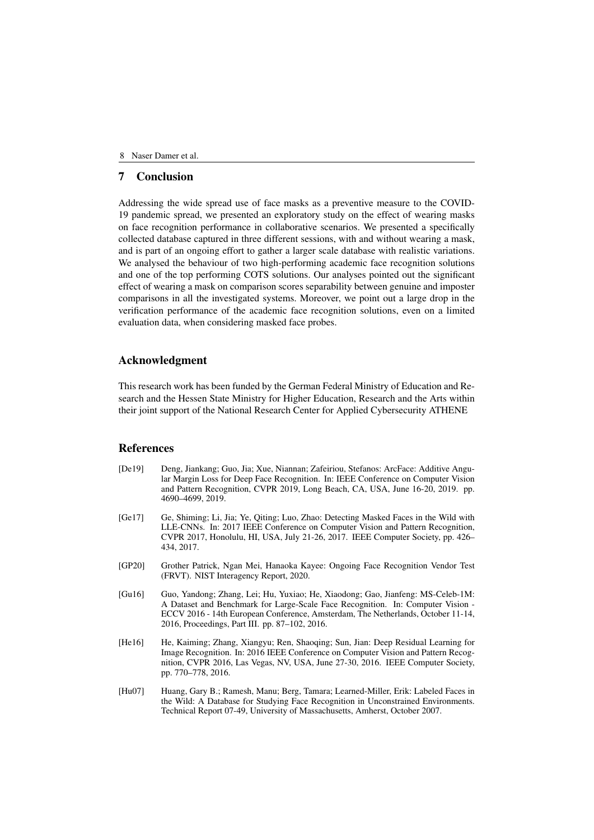## 7 Conclusion

Addressing the wide spread use of face masks as a preventive measure to the COVID-19 pandemic spread, we presented an exploratory study on the effect of wearing masks on face recognition performance in collaborative scenarios. We presented a specifically collected database captured in three different sessions, with and without wearing a mask, and is part of an ongoing effort to gather a larger scale database with realistic variations. We analysed the behaviour of two high-performing academic face recognition solutions and one of the top performing COTS solutions. Our analyses pointed out the significant effect of wearing a mask on comparison scores separability between genuine and imposter comparisons in all the investigated systems. Moreover, we point out a large drop in the verification performance of the academic face recognition solutions, even on a limited evaluation data, when considering masked face probes.

### Acknowledgment

This research work has been funded by the German Federal Ministry of Education and Research and the Hessen State Ministry for Higher Education, Research and the Arts within their joint support of the National Research Center for Applied Cybersecurity ATHENE

#### **References**

- <span id="page-7-1"></span>[De19] Deng, Jiankang; Guo, Jia; Xue, Niannan; Zafeiriou, Stefanos: ArcFace: Additive Angular Margin Loss for Deep Face Recognition. In: IEEE Conference on Computer Vision and Pattern Recognition, CVPR 2019, Long Beach, CA, USA, June 16-20, 2019. pp. 4690–4699, 2019.
- <span id="page-7-0"></span>[Ge17] Ge, Shiming; Li, Jia; Ye, Qiting; Luo, Zhao: Detecting Masked Faces in the Wild with LLE-CNNs. In: 2017 IEEE Conference on Computer Vision and Pattern Recognition, CVPR 2017, Honolulu, HI, USA, July 21-26, 2017. IEEE Computer Society, pp. 426– 434, 2017.
- <span id="page-7-5"></span>[GP20] Grother Patrick, Ngan Mei, Hanaoka Kayee: Ongoing Face Recognition Vendor Test (FRVT). NIST Interagency Report, 2020.
- <span id="page-7-4"></span>[Gu16] Guo, Yandong; Zhang, Lei; Hu, Yuxiao; He, Xiaodong; Gao, Jianfeng: MS-Celeb-1M: A Dataset and Benchmark for Large-Scale Face Recognition. In: Computer Vision - ECCV 2016 - 14th European Conference, Amsterdam, The Netherlands, October 11-14, 2016, Proceedings, Part III. pp. 87–102, 2016.
- <span id="page-7-3"></span>[He16] He, Kaiming; Zhang, Xiangyu; Ren, Shaoqing; Sun, Jian: Deep Residual Learning for Image Recognition. In: 2016 IEEE Conference on Computer Vision and Pattern Recognition, CVPR 2016, Las Vegas, NV, USA, June 27-30, 2016. IEEE Computer Society, pp. 770–778, 2016.
- <span id="page-7-2"></span>[Hu07] Huang, Gary B.; Ramesh, Manu; Berg, Tamara; Learned-Miller, Erik: Labeled Faces in the Wild: A Database for Studying Face Recognition in Unconstrained Environments. Technical Report 07-49, University of Massachusetts, Amherst, October 2007.